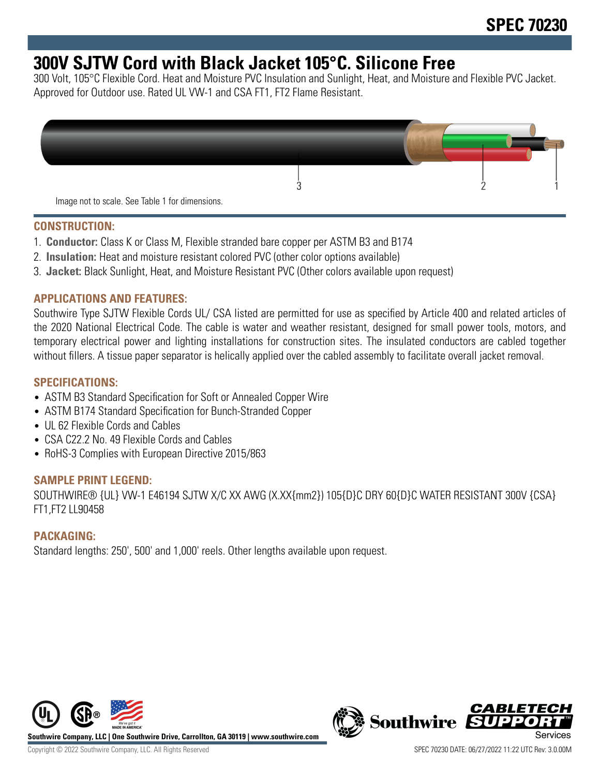# **300V SJTW Cord with Black Jacket 105°C. Silicone Free**

300 Volt, 105°C Flexible Cord. Heat and Moisture PVC Insulation and Sunlight, Heat, and Moisture and Flexible PVC Jacket. Approved for Outdoor use. Rated UL VW-1 and CSA FT1, FT2 Flame Resistant.



#### **CONSTRUCTION:**

- 1. **Conductor:** Class K or Class M, Flexible stranded bare copper per ASTM B3 and B174
- 2. **Insulation:** Heat and moisture resistant colored PVC (other color options available)
- 3. **Jacket:** Black Sunlight, Heat, and Moisture Resistant PVC (Other colors available upon request)

#### **APPLICATIONS AND FEATURES:**

Southwire Type SJTW Flexible Cords UL/ CSA listed are permitted for use as specified by Article 400 and related articles of the 2020 National Electrical Code. The cable is water and weather resistant, designed for small power tools, motors, and temporary electrical power and lighting installations for construction sites. The insulated conductors are cabled together without fillers. A tissue paper separator is helically applied over the cabled assembly to facilitate overall jacket removal.

### **SPECIFICATIONS:**

- ASTM B3 Standard Specification for Soft or Annealed Copper Wire
- ASTM B174 Standard Specification for Bunch-Stranded Copper
- UL 62 Flexible Cords and Cables
- CSA C22.2 No. 49 Flexible Cords and Cables
- RoHS-3 Complies with European Directive 2015/863

#### **SAMPLE PRINT LEGEND:**

SOUTHWIRE® {UL} VW-1 E46194 SJTW X/C XX AWG (X.XX{mm2}) 105{D}C DRY 60{D}C WATER RESISTANT 300V {CSA} FT1,FT2 LL90458

#### **PACKAGING:**

Standard lengths: 250', 500' and 1,000' reels. Other lengths available upon request.



**Southwire Company, LLC | One Southwire Drive, Carrollton, GA 30119 | www.southwire.com**

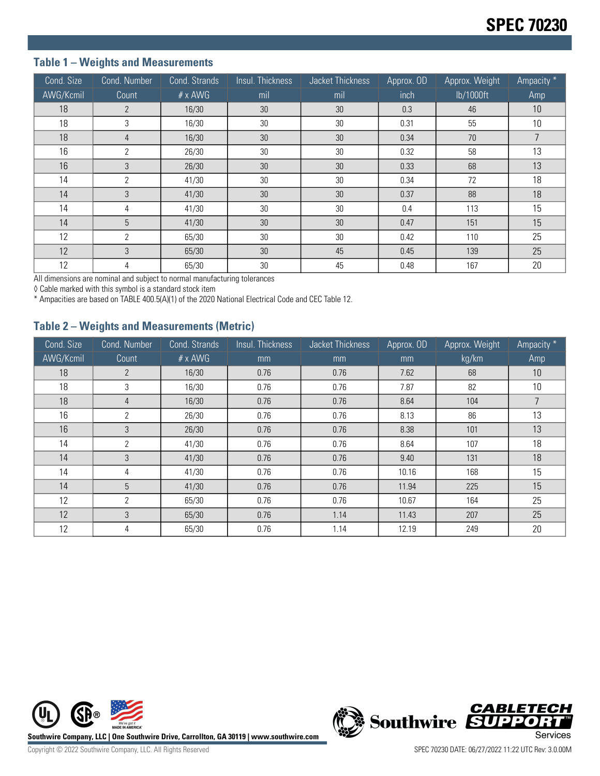## **Table 1 – Weights and Measurements**

| Cond. Size | Cond. Number   | Cond. Strands  | Insul. Thickness | Jacket Thickness | Approx. OD | Approx. Weight | Ampacity * |
|------------|----------------|----------------|------------------|------------------|------------|----------------|------------|
| AWG/Kcmil  | Count          | $# \times$ AWG | mil              | mil              | inch       | lb/1000ft      | Amp        |
| 18         | $\overline{2}$ | 16/30          | 30               | 30               | 0.3        | 46             | 10         |
| 18         | 3              | 16/30          | 30               | 30               | 0.31       | 55             | 10         |
| 18         | 4              | 16/30          | 30               | 30               | 0.34       | 70             | 7          |
| 16         | 2              | 26/30          | 30               | 30               | 0.32       | 58             | 13         |
| 16         | 3              | 26/30          | 30               | 30               | 0.33       | 68             | 13         |
| 14         | $\overline{2}$ | 41/30          | 30               | 30               | 0.34       | 72             | 18         |
| 14         | 3              | 41/30          | 30               | 30               | 0.37       | 88             | 18         |
| 14         | 4              | 41/30          | 30               | 30               | 0.4        | 113            | 15         |
| 14         | 5              | 41/30          | 30               | 30               | 0.47       | 151            | 15         |
| 12         | 2              | 65/30          | 30               | 30               | 0.42       | 110            | 25         |
| 12         | 3              | 65/30          | 30               | 45               | 0.45       | 139            | 25         |
| 12         | 4              | 65/30          | 30               | 45               | 0.48       | 167            | 20         |

All dimensions are nominal and subject to normal manufacturing tolerances

◊ Cable marked with this symbol is a standard stock item

\* Ampacities are based on TABLE 400.5(A)(1) of the 2020 National Electrical Code and CEC Table 12.

### **Table 2 – Weights and Measurements (Metric)**

| Cond. Size | Cond. Number   | Cond. Strands  | Insul. Thickness | Jacket Thickness<br>Approx. OD |       | Approx. Weight | Ampacity * |
|------------|----------------|----------------|------------------|--------------------------------|-------|----------------|------------|
| AWG/Kcmil  | Count          | $# \times$ AWG | mm               | mm<br>mm                       |       | kg/km          | Amp        |
| 18         | $\overline{2}$ | 16/30          | 0.76             | 0.76                           | 7.62  | 68             | 10         |
| 18         | 3              | 16/30          | 0.76             | 0.76                           | 7.87  | 82             | 10         |
| 18         | 4              | 16/30          | 0.76             | 0.76<br>8.64                   |       | 104            |            |
| 16         | 2              | 26/30          | 0.76             | 0.76                           | 8.13  | 86             | 13         |
| 16         | 3              | 26/30          | 0.76             | 0.76                           | 8.38  | 101            | 13         |
| 14         | 2              | 41/30          | 0.76             | 0.76                           | 8.64  | 107            | 18         |
| 14         | 3              | 41/30          | 0.76             | 0.76                           | 9.40  | 131            | 18         |
| 14         | 4              | 41/30          | 0.76             | 0.76                           | 10.16 | 168            | 15         |
| 14         | 5              | 41/30          | 0.76             | 0.76                           | 11.94 | 225            | 15         |
| 12         | 2              | 65/30          | 0.76             | 0.76                           | 10.67 | 164            | 25         |
| 12         | 3              | 65/30          | 0.76             | 1.14                           | 11.43 | 207            | 25         |
| 12         | 4              | 65/30          | 0.76             | 1.14                           | 12.19 | 249            | 20         |